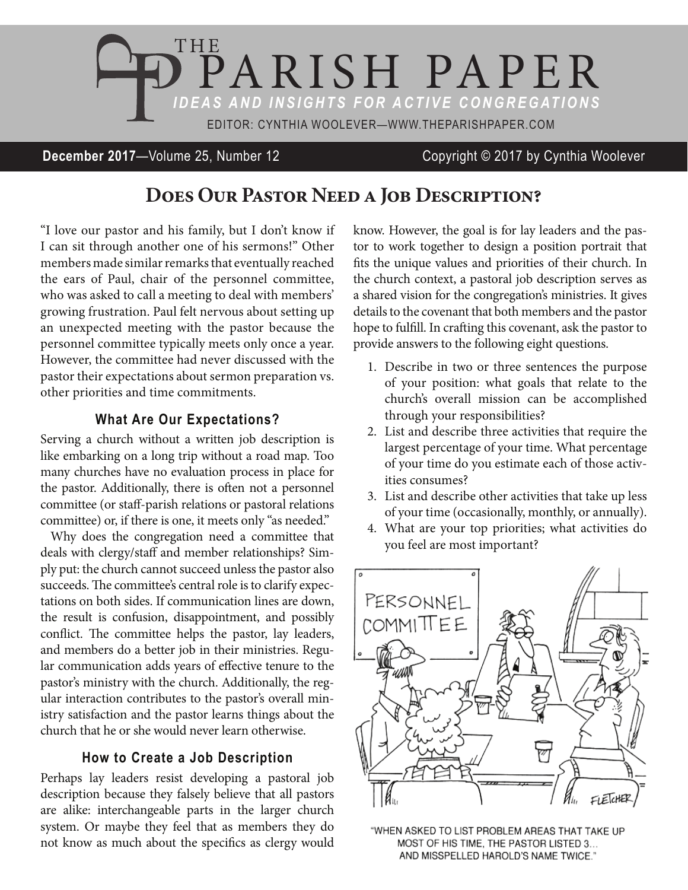

### **December 2017**—Volume 25, Number 12 Copyright © 2017 by Cynthia Woolever

# **Does Our Pastor Need a Job Description?**

"I love our pastor and his family, but I don't know if I can sit through another one of his sermons!" Other members made similar remarks that eventually reached the ears of Paul, chair of the personnel committee, who was asked to call a meeting to deal with members' growing frustration. Paul felt nervous about setting up an unexpected meeting with the pastor because the personnel committee typically meets only once a year. However, the committee had never discussed with the pastor their expectations about sermon preparation vs. other priorities and time commitments.

#### **What Are Our Expectations?**

Serving a church without a written job description is like embarking on a long trip without a road map. Too many churches have no evaluation process in place for the pastor. Additionally, there is often not a personnel committee (or staff-parish relations or pastoral relations committee) or, if there is one, it meets only "as needed."

Why does the congregation need a committee that deals with clergy/staff and member relationships? Simply put: the church cannot succeed unless the pastor also succeeds. The committee's central role is to clarify expectations on both sides. If communication lines are down, the result is confusion, disappointment, and possibly conflict. The committee helps the pastor, lay leaders, and members do a better job in their ministries. Regular communication adds years of effective tenure to the pastor's ministry with the church. Additionally, the regular interaction contributes to the pastor's overall ministry satisfaction and the pastor learns things about the church that he or she would never learn otherwise.

#### **How to Create a Job Description**

Perhaps lay leaders resist developing a pastoral job description because they falsely believe that all pastors are alike: interchangeable parts in the larger church system. Or maybe they feel that as members they do not know as much about the specifics as clergy would know. However, the goal is for lay leaders and the pastor to work together to design a position portrait that fits the unique values and priorities of their church. In the church context, a pastoral job description serves as a shared vision for the congregation's ministries. It gives details to the covenant that both members and the pastor hope to fulfill. In crafting this covenant, ask the pastor to provide answers to the following eight questions.

- 1. Describe in two or three sentences the purpose of your position: what goals that relate to the church's overall mission can be accomplished through your responsibilities?
- 2. List and describe three activities that require the largest percentage of your time. What percentage of your time do you estimate each of those activities consumes?
- 3. List and describe other activities that take up less of your time (occasionally, monthly, or annually).
- 4. What are your top priorities; what activities do you feel are most important?



"WHEN ASKED TO LIST PROBLEM AREAS THAT TAKE UP MOST OF HIS TIME, THE PASTOR LISTED 3... AND MISSPELLED HAROLD'S NAME TWICE."